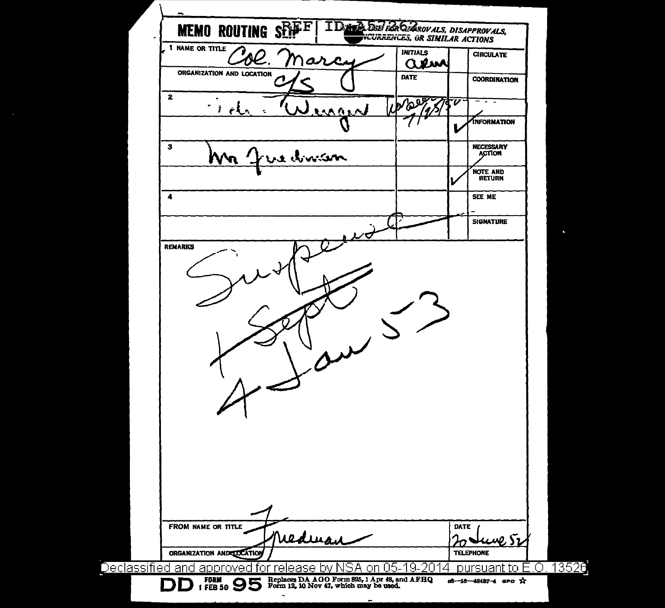| <b>MEMO ROUTING SET</b><br>1 NAME OR TITLE | DATA DEL PAR DIAROVALS, DISAPPROVALS,<br>NCURRENCES, OR SIMILAR ACTIONS |                                                      |
|--------------------------------------------|-------------------------------------------------------------------------|------------------------------------------------------|
| arci                                       | <b>INITIALS</b><br>aew                                                  | <b>CIRCULATE</b>                                     |
| ORGANIZATION AND LOCATION                  | <b>DATE</b>                                                             | <b>COORDINATION</b>                                  |
| $\mathbf{z}$<br>ŧ.<br>mand<br>でんこ          | <b>PDE</b>                                                              | v                                                    |
|                                            |                                                                         | INFORMATION                                          |
| з<br>re division                           |                                                                         | <b>NECESSARY</b><br><b>ACTION</b>                    |
|                                            |                                                                         | NOTE AND<br>RETURN                                   |
| 4                                          |                                                                         | SEE ME                                               |
|                                            |                                                                         | <b>SIGNATURE</b>                                     |
|                                            |                                                                         |                                                      |
|                                            |                                                                         |                                                      |
| FROM NAME OR TITLE                         |                                                                         | DATE                                                 |
| nederan<br>ORGANIZATION ANDELOCATION       |                                                                         | ww. Sz<br><b>TELEPHONE</b><br>pursuant to E.O. 13526 |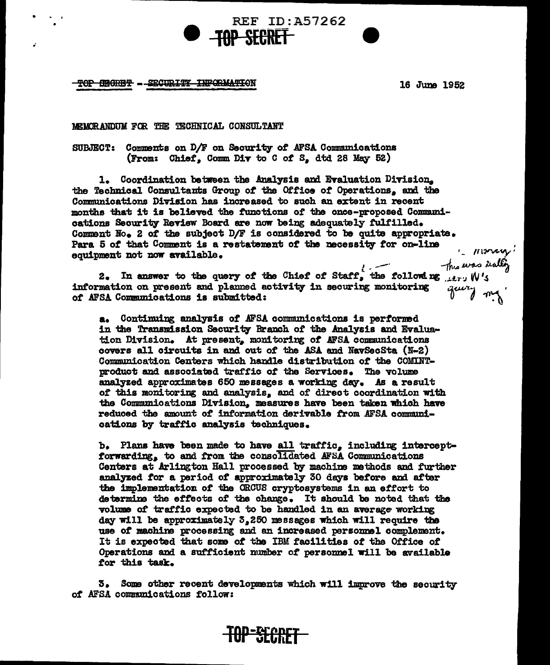## TOP SEGRET - SECURITY INFORMATION

16 June 1952

## MEMORANDUM FOR THE TECHNICAL CONSULTANT

Comments on D/F on Security of AFSA Communications **SUBJECT:** (From: Chief, Comm Div to C of S, dtd 28 May 52)

1. Coordination between the Analysis and Evaluation Division. the Technical Consultants Group of the Office of Operations, and the Communications Division has increased to such an extent in recent months that it is believed the functions of the once-proposed Communications Security Review Board are now being adequately fulfilled. Comment No. 2 of the subject D/F is considered to be quite appropriate. Para 5 of that Comment is a restatement of the necessity for on-line equipment not now available.

REF ID: A57262

**SFARET** 

because of the decessity for on-line (The way)<br>ment not now available.<br>2. In answer to the query of the Chief of Staff, the following the was duffy<br>ration on present and planned activity in securing monitoring query  $\eta$ . information on present and planned activity in securing monitoring of AFSA Communications is submitted:

a. Continuing analysis of AFSA communications is performed in the Transmission Security Branch of the Analysis and Evaluation Division. At present, monitoring of AFSA communications covers all circuits in and out of the ASA and NavSecSta (N-2) Communication Centers which handle distribution of the COMINTproduct and associated traffic of the Services. The volume analyzed approximates 650 messages a working day. As a result of this monitoring and analysis, and of direct coordination with the Communications Division, measures have been taken which have reduced the amount of information derivable from AFSA communications by traffic analysis techniques.

b. Plans have been made to have all traffic. including interceptforwarding, to and from the consolidated AFSA Communications Centers at Arlington Hall processed by machine methods and further analyzed for a period of approximately 30 days before and after the implementation of the ORCUS cryptosystems in an effort to determine the effects of the change. It should be noted that the volume of traffic expected to be handled in an average working day will be approximately 3,250 messages which will require the use of machine processing and an increased personnel complement. It is expected that some of the IBM facilities of the Office of Operations and a sufficient number of personnel will be available for this task.

3. Some other recent developments which will improve the security of AFSA communications follow:

**TOP-SCOPET**